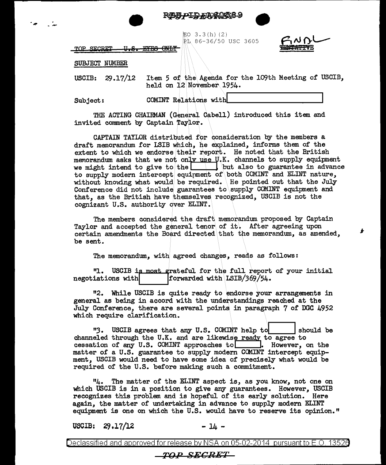





LO 3.3(h)(2) RL 86-36/50 USC 3605



TOP SECRET <del>EYES ONLY</del> <del>U.S.</del>

## SUBJECT NUMBER

USCIB: 29.17/12 Item 5 of the Agenda for the 109th Meeting of USCIB, held on 12 November 1954.

Subject:

COMINT Relations with

THE ACTING CHAIRMAN (General Cabell) introduced this item and invited comment by Captain Taylor.

CAPTAIN TAYLOR distributed for consideration by the members a draft memorandum for LSIB which, he explained, informs them of the extent to which we endorse their report. He noted that the British memorandum asks that we not only use U.K. channels to supply equipment we might intend to give to the  $\Box$  but also to guarantee in advance to supply modern intercept equipment of both COMINT and ELINT nature, without knowing what would be required. He pointed out that the July Conference did not include guarantees to supply COMINT equipment and that, as the British have themselves recognized. USCIB is not the cognizant U.S. authority over ELINT.

The members considered the draft memorandum proposed by Captain Taylor and accepted the general tenor of it. After agreeing upon certain amendments the Board directed that the memorandum, as amended, be sent.

The memorandum, with agreed changes, reads as follows:

**"1**. USCIB is most grateful for the full report of your initial forwarded with LSIB/369/54. negotiations with

"2. While USCIB is quite ready to endorse your arrangements in general as being in accord with the understandings reached at the July Conference, there are several points in paragraph 7 of DGC 4952 which require clarification.

"3. USCIB agrees that any U.S. COMINT help to should be channeled through the U.K. and are likewise ready to agree to cessation of any U.S. COMINT approaches to | Rowever, on the matter of a U.S. guarantee to supply modern COMINT intercept equipment, USCIB would need to have some idea of precisely what would be required of the U.S. before making such a commitment.

The matter of the ELINT aspect is, as you know, not one on 114. which USCIB is in a position to give any guarantees. However, USCIB recognizes this problem and is hopeful of its early solution. Here again, the matter of undertaking in advance to supply modern ELINT equipment is one on which the U.S. would have to reserve its opinion."

**USCIB:**  $29.17/12$   $-14 -$ 

Declassified and approved for release by NSA on 05-02-2014  $\,$  pursuant to E.O. 13526  $\,$ 

## *TOP SECRET*